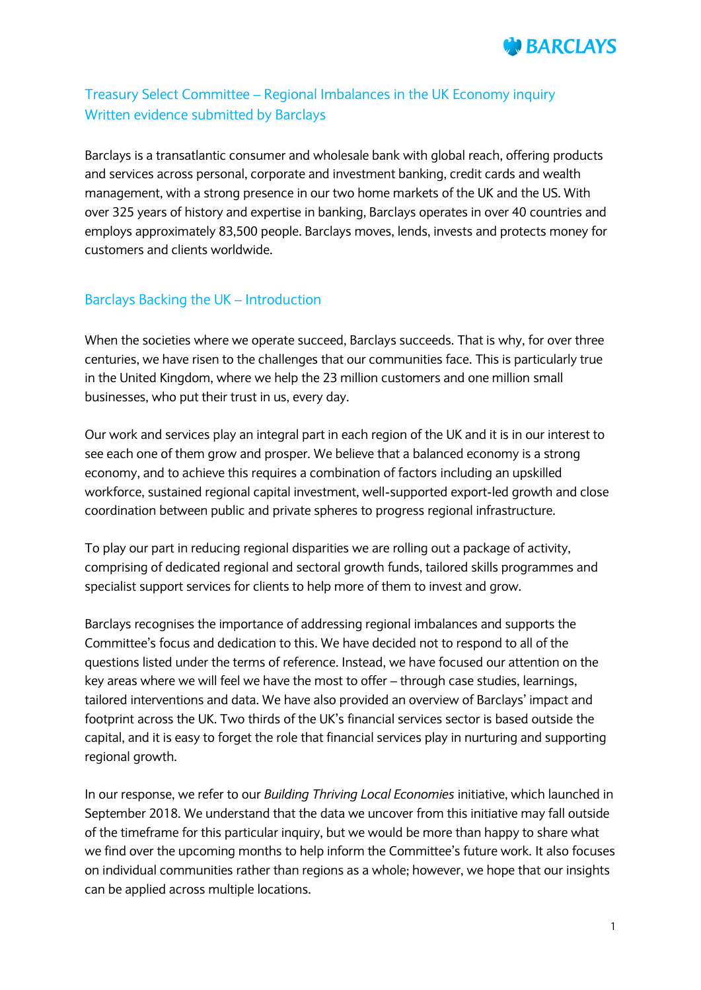

# Treasury Select Committee – Regional Imbalances in the UK Economy inquiry Written evidence submitted by Barclays

Barclays is a transatlantic consumer and wholesale bank with global reach, offering products and services across personal, corporate and investment banking, credit cards and wealth management, with a strong presence in our two home markets of the UK and the US. With over 325 years of history and expertise in banking, Barclays operates in over 40 countries and employs approximately 83,500 people. Barclays moves, lends, invests and protects money for customers and clients worldwide.

# Barclays Backing the UK – Introduction

When the societies where we operate succeed, Barclays succeeds. That is why, for over three centuries, we have risen to the challenges that our communities face. This is particularly true in the United Kingdom, where we help the 23 million customers and one million small businesses, who put their trust in us, every day.

Our work and services play an integral part in each region of the UK and it is in our interest to see each one of them grow and prosper. We believe that a balanced economy is a strong economy, and to achieve this requires a combination of factors including an upskilled workforce, sustained regional capital investment, well-supported export-led growth and close coordination between public and private spheres to progress regional infrastructure.

To play our part in reducing regional disparities we are rolling out a package of activity, comprising of dedicated regional and sectoral growth funds, tailored skills programmes and specialist support services for clients to help more of them to invest and grow.

Barclays recognises the importance of addressing regional imbalances and supports the Committee's focus and dedication to this. We have decided not to respond to all of the questions listed under the terms of reference. Instead, we have focused our attention on the key areas where we will feel we have the most to offer – through case studies, learnings, tailored interventions and data. We have also provided an overview of Barclays' impact and footprint across the UK. Two thirds of the UK's financial services sector is based outside the capital, and it is easy to forget the role that financial services play in nurturing and supporting regional growth.

In our response, we refer to our *Building Thriving Local Economies* initiative, which launched in September 2018. We understand that the data we uncover from this initiative may fall outside of the timeframe for this particular inquiry, but we would be more than happy to share what we find over the upcoming months to help inform the Committee's future work. It also focuses on individual communities rather than regions as a whole; however, we hope that our insights can be applied across multiple locations.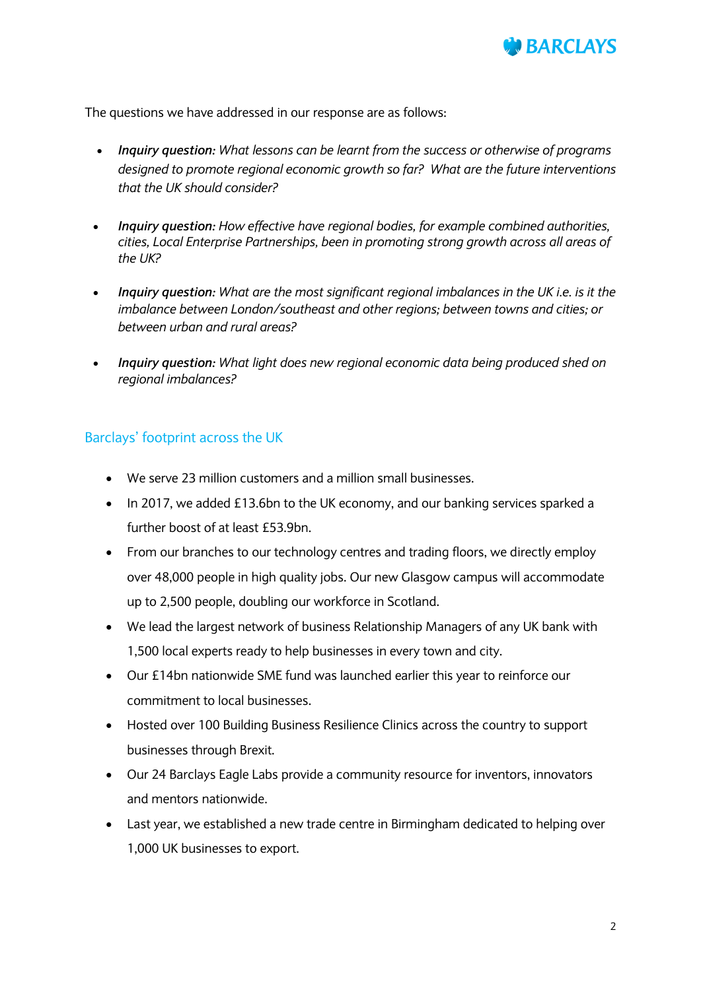

The questions we have addressed in our response are as follows:

- *Inquiry question: What lessons can be learnt from the success or otherwise of programs designed to promote regional economic growth so far? What are the future interventions that the UK should consider?*
- *Inquiry question: How effective have regional bodies, for example combined authorities, cities, Local Enterprise Partnerships, been in promoting strong growth across all areas of the UK?*
- *Inquiry question: What are the most significant regional imbalances in the UK i.e. is it the imbalance between London/southeast and other regions; between towns and cities; or between urban and rural areas?*
- *Inquiry question: What light does new regional economic data being produced shed on regional imbalances?*

### Barclays' footprint across the UK

- We serve 23 million customers and a million small businesses.
- In 2017, we added £13.6bn to the UK economy, and our banking services sparked a further boost of at least £53.9bn.
- From our branches to our technology centres and trading floors, we directly employ over 48,000 people in high quality jobs. Our new Glasgow campus will accommodate up to 2,500 people, doubling our workforce in Scotland.
- We lead the largest network of business Relationship Managers of any UK bank with 1,500 local experts ready to help businesses in every town and city.
- Our £14bn nationwide SME fund was launched earlier this year to reinforce our commitment to local businesses.
- Hosted over 100 Building Business Resilience Clinics across the country to support businesses through Brexit.
- Our 24 Barclays Eagle Labs provide a community resource for inventors, innovators and mentors nationwide.
- Last year, we established a new trade centre in Birmingham dedicated to helping over 1,000 UK businesses to export.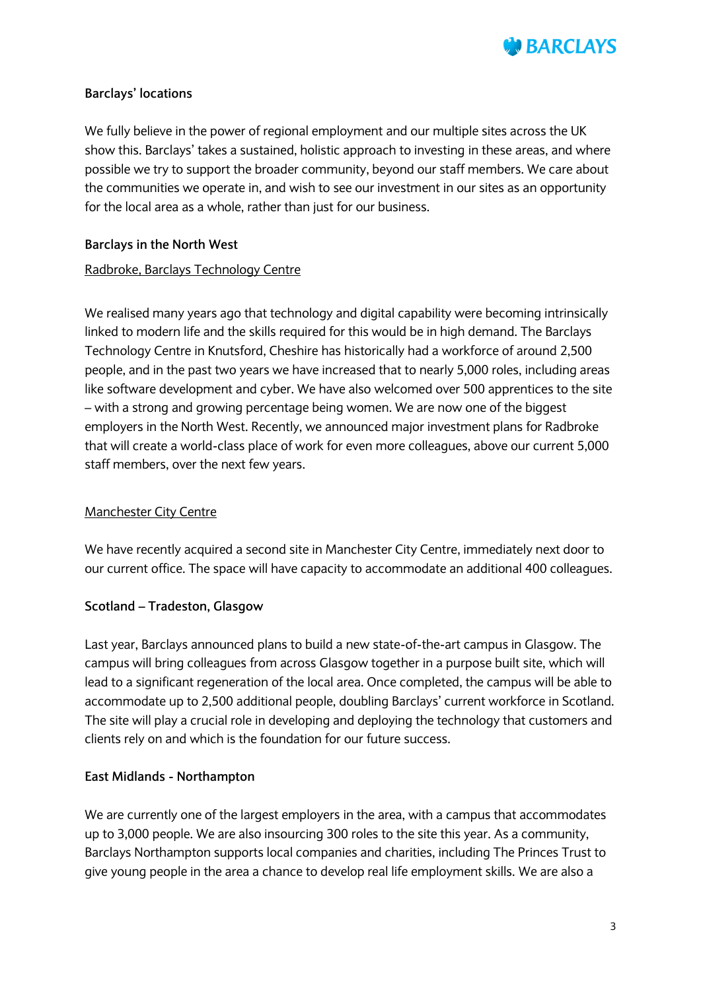

#### **Barclays' locations**

We fully believe in the power of regional employment and our multiple sites across the UK show this. Barclays' takes a sustained, holistic approach to investing in these areas, and where possible we try to support the broader community, beyond our staff members. We care about the communities we operate in, and wish to see our investment in our sites as an opportunity for the local area as a whole, rather than just for our business.

#### **Barclays in the North West**

#### Radbroke, Barclays Technology Centre

We realised many years ago that technology and digital capability were becoming intrinsically linked to modern life and the skills required for this would be in high demand. The Barclays Technology Centre in Knutsford, Cheshire has historically had a workforce of around 2,500 people, and in the past two years we have increased that to nearly 5,000 roles, including areas like software development and cyber. We have also welcomed over 500 apprentices to the site – with a strong and growing percentage being women. We are now one of the biggest employers in the North West. Recently, we announced major investment plans for Radbroke that will create a world-class place of work for even more colleagues, above our current 5,000 staff members, over the next few years.

#### Manchester City Centre

We have recently acquired a second site in Manchester City Centre, immediately next door to our current office. The space will have capacity to accommodate an additional 400 colleagues.

### **Scotland – Tradeston, Glasgow**

Last year, Barclays announced plans to build a new state-of-the-art campus in Glasgow. The campus will bring colleagues from across Glasgow together in a purpose built site, which will lead to a significant regeneration of the local area. Once completed, the campus will be able to accommodate up to 2,500 additional people, doubling Barclays' current workforce in Scotland. The site will play a crucial role in developing and deploying the technology that customers and clients rely on and which is the foundation for our future success.

#### **East Midlands - Northampton**

We are currently one of the largest employers in the area, with a campus that accommodates up to 3,000 people. We are also insourcing 300 roles to the site this year. As a community, Barclays Northampton supports local companies and charities, including The Princes Trust to give young people in the area a chance to develop real life employment skills. We are also a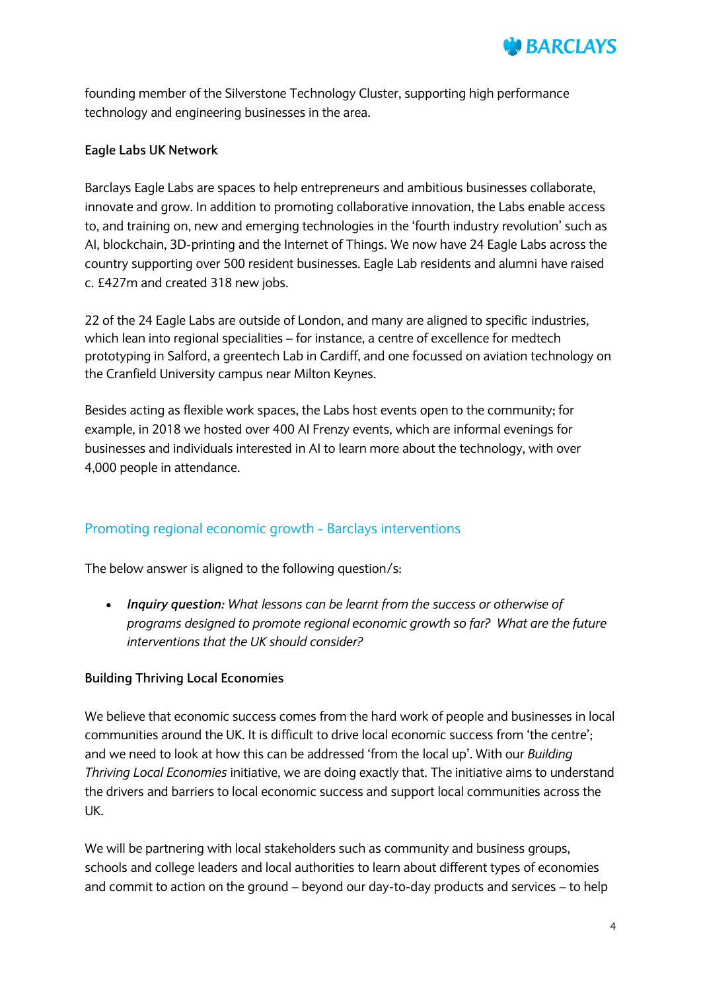

founding member of the Silverstone Technology Cluster, supporting high performance technology and engineering businesses in the area.

#### **Eagle Labs UK Network**

Barclays Eagle Labs are spaces to help entrepreneurs and ambitious businesses collaborate, innovate and grow. In addition to promoting collaborative innovation, the Labs enable access to, and training on, new and emerging technologies in the 'fourth industry revolution' such as AI, blockchain, 3D-printing and the Internet of Things. We now have 24 Eagle Labs across the country supporting over 500 resident businesses. Eagle Lab residents and alumni have raised c. £427m and created 318 new jobs.

22 of the 24 Eagle Labs are outside of London, and many are aligned to specific industries, which lean into regional specialities – for instance, a centre of excellence for medtech prototyping in Salford, a greentech Lab in Cardiff, and one focussed on aviation technology on the Cranfield University campus near Milton Keynes.

Besides acting as flexible work spaces, the Labs host events open to the community; for example, in 2018 we hosted over 400 AI Frenzy events, which are informal evenings for businesses and individuals interested in AI to learn more about the technology, with over 4,000 people in attendance.

### Promoting regional economic growth - Barclays interventions

The below answer is aligned to the following question/s:

 *Inquiry question: What lessons can be learnt from the success or otherwise of programs designed to promote regional economic growth so far? What are the future interventions that the UK should consider?*

### **Building Thriving Local Economies**

We believe that economic success comes from the hard work of people and businesses in local communities around the UK. It is difficult to drive local economic success from 'the centre'; and we need to look at how this can be addressed 'from the local up'. With our *Building Thriving Local Economies* initiative, we are doing exactly that. The initiative aims to understand the drivers and barriers to local economic success and support local communities across the UK.

We will be partnering with local stakeholders such as community and business groups, schools and college leaders and local authorities to learn about different types of economies and commit to action on the ground – beyond our day-to-day products and services – to help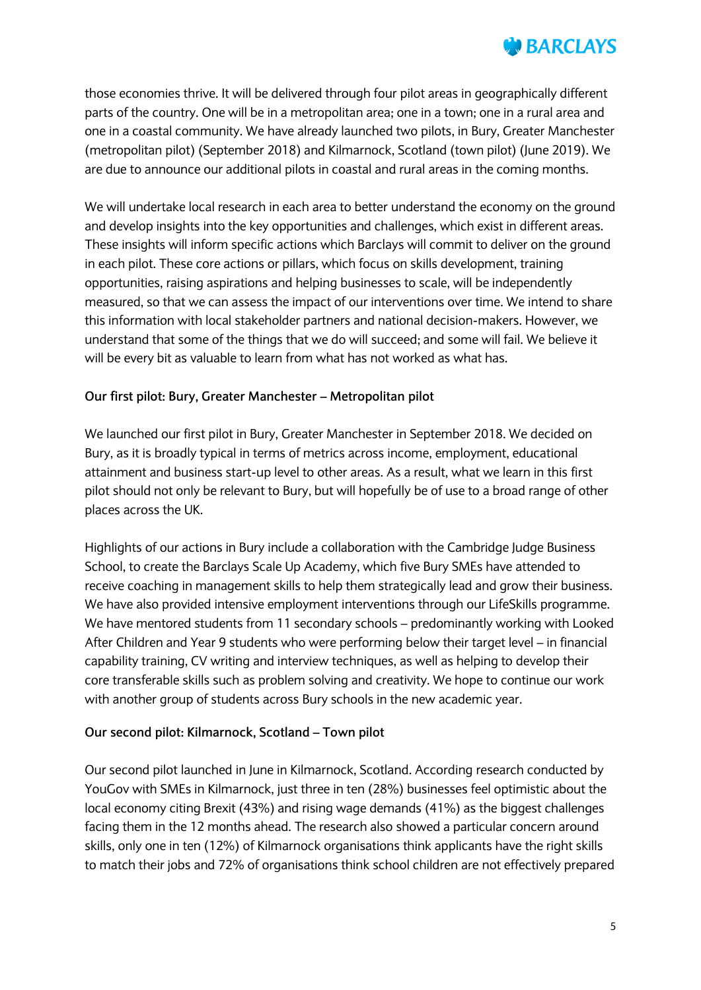

those economies thrive. It will be delivered through four pilot areas in geographically different parts of the country. One will be in a metropolitan area; one in a town; one in a rural area and one in a coastal community. We have already launched two pilots, in Bury, Greater Manchester (metropolitan pilot) (September 2018) and Kilmarnock, Scotland (town pilot) (June 2019). We are due to announce our additional pilots in coastal and rural areas in the coming months.

We will undertake local research in each area to better understand the economy on the ground and develop insights into the key opportunities and challenges, which exist in different areas. These insights will inform specific actions which Barclays will commit to deliver on the ground in each pilot. These core actions or pillars, which focus on skills development, training opportunities, raising aspirations and helping businesses to scale, will be independently measured, so that we can assess the impact of our interventions over time. We intend to share this information with local stakeholder partners and national decision-makers. However, we understand that some of the things that we do will succeed; and some will fail. We believe it will be every bit as valuable to learn from what has not worked as what has.

#### **Our first pilot: Bury, Greater Manchester – Metropolitan pilot**

We launched our first pilot in Bury, Greater Manchester in September 2018. We decided on Bury, as it is broadly typical in terms of metrics across income, employment, educational attainment and business start-up level to other areas. As a result, what we learn in this first pilot should not only be relevant to Bury, but will hopefully be of use to a broad range of other places across the UK.

Highlights of our actions in Bury include a collaboration with the Cambridge Judge Business School, to create the Barclays Scale Up Academy, which five Bury SMEs have attended to receive coaching in management skills to help them strategically lead and grow their business. We have also provided intensive employment interventions through our LifeSkills programme. We have mentored students from 11 secondary schools – predominantly working with Looked After Children and Year 9 students who were performing below their target level – in financial capability training, CV writing and interview techniques, as well as helping to develop their core transferable skills such as problem solving and creativity. We hope to continue our work with another group of students across Bury schools in the new academic year.

#### **Our second pilot: Kilmarnock, Scotland – Town pilot**

Our second pilot launched in June in Kilmarnock, Scotland. According research conducted by YouGov with SMEs in Kilmarnock, just three in ten (28%) businesses feel optimistic about the local economy citing Brexit (43%) and rising wage demands (41%) as the biggest challenges facing them in the 12 months ahead. The research also showed a particular concern around skills, only one in ten (12%) of Kilmarnock organisations think applicants have the right skills to match their jobs and 72% of organisations think school children are not effectively prepared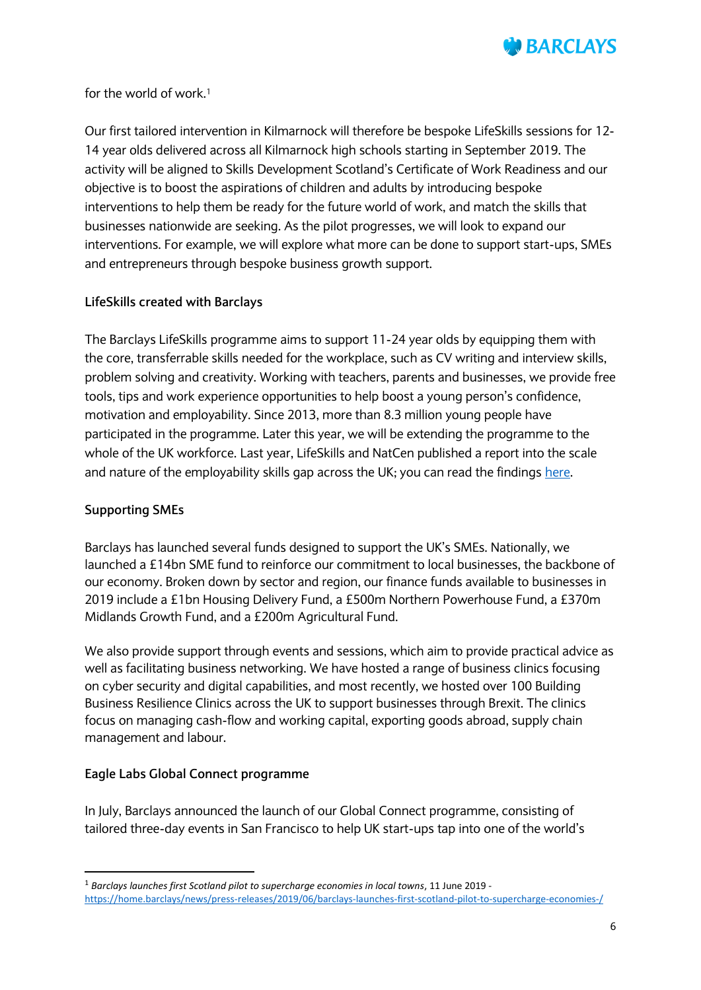

for the world of work.<sup>1</sup>

Our first tailored intervention in Kilmarnock will therefore be bespoke LifeSkills sessions for 12- 14 year olds delivered across all Kilmarnock high schools starting in September 2019. The activity will be aligned to Skills Development Scotland's Certificate of Work Readiness and our objective is to boost the aspirations of children and adults by introducing bespoke interventions to help them be ready for the future world of work, and match the skills that businesses nationwide are seeking. As the pilot progresses, we will look to expand our interventions. For example, we will explore what more can be done to support start-ups, SMEs and entrepreneurs through bespoke business growth support.

### **LifeSkills created with Barclays**

The Barclays LifeSkills programme aims to support 11-24 year olds by equipping them with the core, transferrable skills needed for the workplace, such as CV writing and interview skills, problem solving and creativity. Working with teachers, parents and businesses, we provide free tools, tips and work experience opportunities to help boost a young person's confidence, motivation and employability. Since 2013, more than 8.3 million young people have participated in the programme. Later this year, we will be extending the programme to the whole of the UK workforce. Last year, LifeSkills and NatCen published a report into the scale and nature of the employability skills gap across the UK; you can read the findings [here.](https://home.barclays/content/dam/home-barclays/documents/news/2018/Barclays%20Lifeskills%20report_v10.pdf)

#### **Supporting SMEs**

**.** 

Barclays has launched several funds designed to support the UK's SMEs. Nationally, we launched a £14bn SME fund to reinforce our commitment to local businesses, the backbone of our economy. Broken down by sector and region, our finance funds available to businesses in 2019 include a £1bn Housing Delivery Fund, a £500m Northern Powerhouse Fund, a £370m Midlands Growth Fund, and a £200m Agricultural Fund.

We also provide support through events and sessions, which aim to provide practical advice as well as facilitating business networking. We have hosted a range of business clinics focusing on cyber security and digital capabilities, and most recently, we hosted over 100 Building Business Resilience Clinics across the UK to support businesses through Brexit. The clinics focus on managing cash-flow and working capital, exporting goods abroad, supply chain management and labour.

### **Eagle Labs Global Connect programme**

In July, Barclays announced the launch of our Global Connect programme, consisting of tailored three-day events in San Francisco to help UK start-ups tap into one of the world's

<sup>1</sup> *Barclays launches first Scotland pilot to supercharge economies in local towns*, 11 June 2019 <https://home.barclays/news/press-releases/2019/06/barclays-launches-first-scotland-pilot-to-supercharge-economies-/>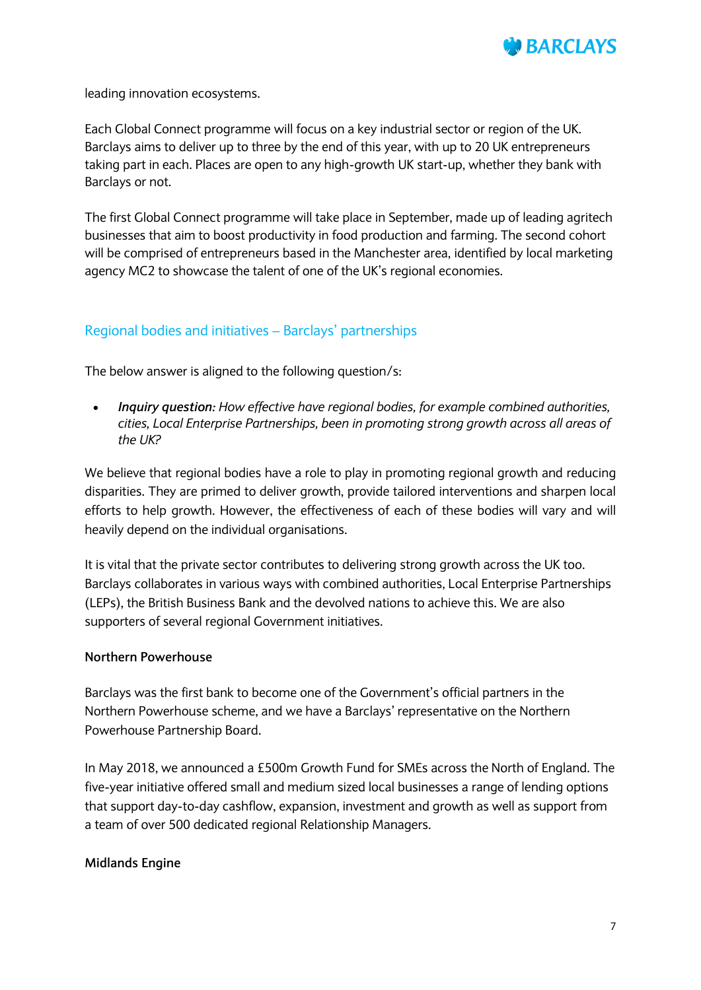

leading innovation ecosystems.

Each Global Connect programme will focus on a key industrial sector or region of the UK. Barclays aims to deliver up to three by the end of this year, with up to 20 UK entrepreneurs taking part in each. Places are open to any high-growth UK start-up, whether they bank with Barclays or not.

The first Global Connect programme will take place in September, made up of leading agritech businesses that aim to boost productivity in food production and farming. The second cohort will be comprised of entrepreneurs based in the Manchester area, identified by local marketing agency MC2 to showcase the talent of one of the UK's regional economies.

### Regional bodies and initiatives – Barclays' partnerships

The below answer is aligned to the following question/s:

 *Inquiry question: How effective have regional bodies, for example combined authorities, cities, Local Enterprise Partnerships, been in promoting strong growth across all areas of the UK?*

We believe that regional bodies have a role to play in promoting regional growth and reducing disparities. They are primed to deliver growth, provide tailored interventions and sharpen local efforts to help growth. However, the effectiveness of each of these bodies will vary and will heavily depend on the individual organisations.

It is vital that the private sector contributes to delivering strong growth across the UK too. Barclays collaborates in various ways with combined authorities, Local Enterprise Partnerships (LEPs), the British Business Bank and the devolved nations to achieve this. We are also supporters of several regional Government initiatives.

#### **Northern Powerhouse**

Barclays was the first bank to become one of the Government's official partners in the Northern Powerhouse scheme, and we have a Barclays' representative on the Northern Powerhouse Partnership Board.

In May 2018, we announced a £500m Growth Fund for SMEs across the North of England. The five-year initiative offered small and medium sized local businesses a range of lending options that support day-to-day cashflow, expansion, investment and growth as well as support from a team of over 500 dedicated regional Relationship Managers.

#### **Midlands Engine**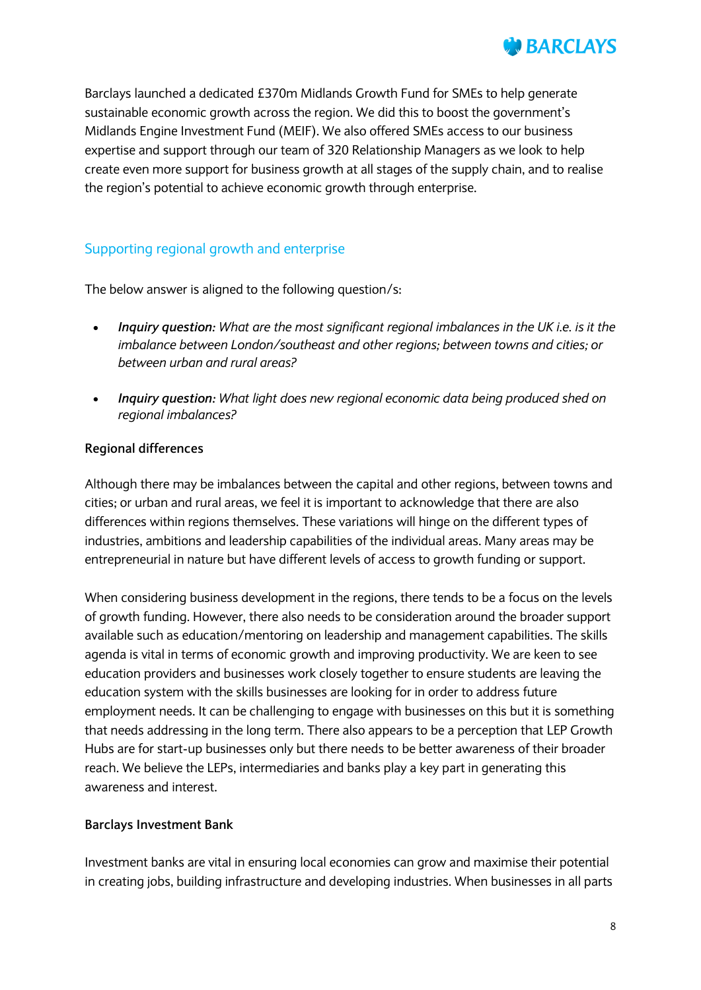

Barclays launched a dedicated £370m Midlands Growth Fund for SMEs to help generate sustainable economic growth across the region. We did this to boost the government's Midlands Engine Investment Fund (MEIF). We also offered SMEs access to our business expertise and support through our team of 320 Relationship Managers as we look to help create even more support for business growth at all stages of the supply chain, and to realise the region's potential to achieve economic growth through enterprise.

### Supporting regional growth and enterprise

The below answer is aligned to the following question/s:

- *Inquiry question: What are the most significant regional imbalances in the UK i.e. is it the imbalance between London/southeast and other regions; between towns and cities; or between urban and rural areas?*
- *Inquiry question: What light does new regional economic data being produced shed on regional imbalances?*

#### **Regional differences**

Although there may be imbalances between the capital and other regions, between towns and cities; or urban and rural areas, we feel it is important to acknowledge that there are also differences within regions themselves. These variations will hinge on the different types of industries, ambitions and leadership capabilities of the individual areas. Many areas may be entrepreneurial in nature but have different levels of access to growth funding or support.

When considering business development in the regions, there tends to be a focus on the levels of growth funding. However, there also needs to be consideration around the broader support available such as education/mentoring on leadership and management capabilities. The skills agenda is vital in terms of economic growth and improving productivity. We are keen to see education providers and businesses work closely together to ensure students are leaving the education system with the skills businesses are looking for in order to address future employment needs. It can be challenging to engage with businesses on this but it is something that needs addressing in the long term. There also appears to be a perception that LEP Growth Hubs are for start-up businesses only but there needs to be better awareness of their broader reach. We believe the LEPs, intermediaries and banks play a key part in generating this awareness and interest.

#### **Barclays Investment Bank**

Investment banks are vital in ensuring local economies can grow and maximise their potential in creating jobs, building infrastructure and developing industries. When businesses in all parts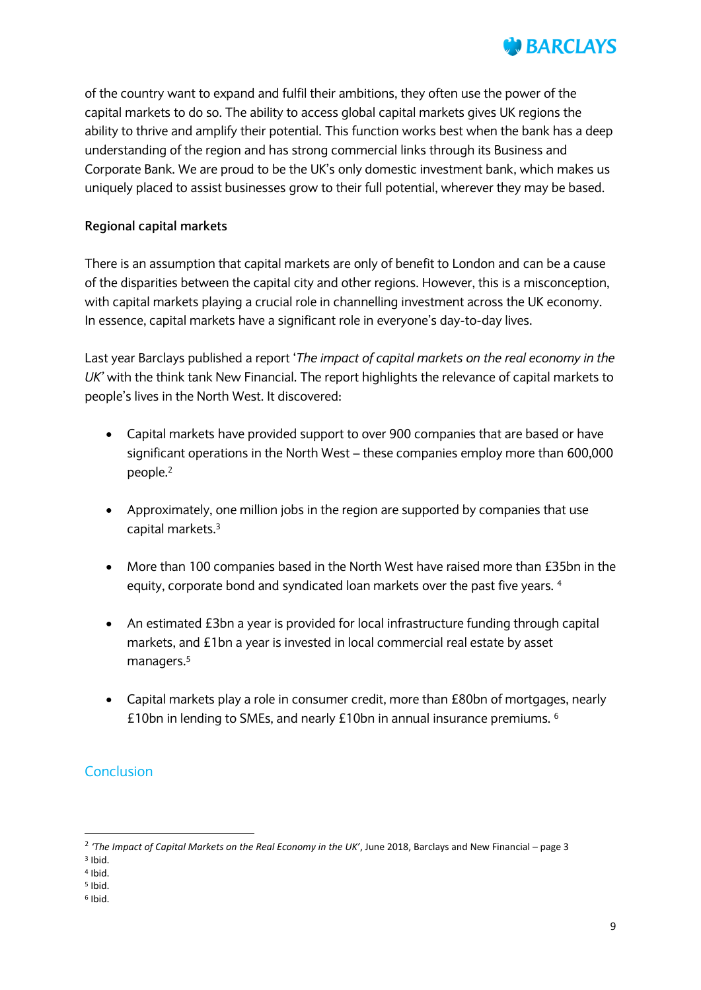

of the country want to expand and fulfil their ambitions, they often use the power of the capital markets to do so. The ability to access global capital markets gives UK regions the ability to thrive and amplify their potential. This function works best when the bank has a deep understanding of the region and has strong commercial links through its Business and Corporate Bank. We are proud to be the UK's only domestic investment bank, which makes us uniquely placed to assist businesses grow to their full potential, wherever they may be based.

### **Regional capital markets**

There is an assumption that capital markets are only of benefit to London and can be a cause of the disparities between the capital city and other regions. However, this is a misconception, with capital markets playing a crucial role in channelling investment across the UK economy. In essence, capital markets have a significant role in everyone's day-to-day lives.

Last year Barclays published a report '*The impact of capital markets on the real economy in the UK'* with the think tank New Financial. The report highlights the relevance of capital markets to people's lives in the North West. It discovered:

- Capital markets have provided support to over 900 companies that are based or have significant operations in the North West – these companies employ more than 600,000 people.<sup>2</sup>
- Approximately, one million jobs in the region are supported by companies that use capital markets.<sup>3</sup>
- More than 100 companies based in the North West have raised more than £35bn in the equity, corporate bond and syndicated loan markets over the past five years. <sup>4</sup>
- An estimated £3bn a year is provided for local infrastructure funding through capital markets, and £1bn a year is invested in local commercial real estate by asset managers.<sup>5</sup>
- Capital markets play a role in consumer credit, more than £80bn of mortgages, nearly £10bn in lending to SMEs, and nearly £10bn in annual insurance premiums. <sup>6</sup>

# **Conclusion**

**.** 

<sup>2</sup> *'The Impact of Capital Markets on the Real Economy in the UK'*, June 2018, Barclays and New Financial – page 3

<sup>3</sup> Ibid.

<sup>4</sup> Ibid.

<sup>5</sup> Ibid. 6 Ibid.